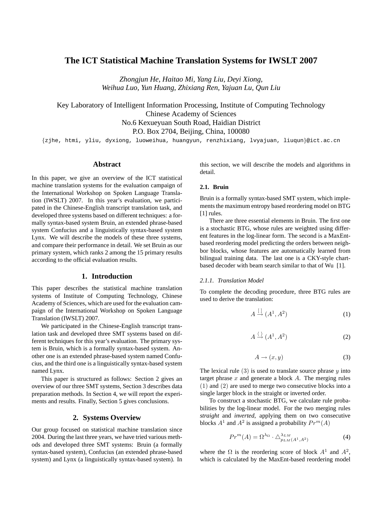# **The ICT Statistical Machine Translation Systems for IWSLT 2007**

*Zhongjun He, Haitao Mi, Yang Liu, Deyi Xiong, Weihua Luo, Yun Huang, Zhixiang Ren, Yajuan Lu, Qun Liu*

Key Laboratory of Intelligent Information Processing, Institute of Computing Technology Chinese Academy of Sciences No.6 Kexueyuan South Road, Haidian District P.O. Box 2704, Beijing, China, 100080

{zjhe, htmi, yliu, dyxiong, luoweihua, huangyun, renzhixiang, lvyajuan, liuqun}@ict.ac.cn

### **Abstract**

In this paper, we give an overview of the ICT statistical machine translation systems for the evaluation campaign of the International Workshop on Spoken Language Translation (IWSLT) 2007. In this year's evaluation, we participated in the Chinese-English transcript translation task, and developed three systems based on different techniques: a formally syntax-based system Bruin, an extended phrase-based system Confucius and a linguistically syntax-based system Lynx. We will describe the models of these three systems, and compare their performance in detail. We set Bruin as our primary system, which ranks 2 among the 15 primary results according to the official evaluation results.

## **1. Introduction**

This paper describes the statistical machine translation systems of Institute of Computing Technology, Chinese Academy of Sciences, which are used for the evaluation campaign of the International Workshop on Spoken Language Translation (IWSLT) 2007.

We participated in the Chinese-English transcript translation task and developed three SMT systems based on different techniques for this year's evaluation. The primary system is Bruin, which is a formally syntax-based system. Another one is an extended phrase-based system named Confucius, and the third one is a linguistically syntax-based system named Lynx.

This paper is structured as follows: Section 2 gives an overview of our three SMT systems, Section 3 describes data preparation methods. In Section 4, we will report the experiments and results. Finally, Section 5 gives conclusions.

## **2. Systems Overview**

Our group focused on statistical machine translation since 2004. During the last three years, we have tried various methods and developed three SMT systems: Bruin (a formally syntax-based system), Confucius (an extended phrase-based system) and Lynx (a linguistically syntax-based system). In this section, we will describe the models and algorithms in detail.

## **2.1. Bruin**

Bruin is a formally syntax-based SMT system, which implements the maximum entropy based reordering model on BTG [1] rules.

There are three essential elements in Bruin. The first one is a stochastic BTG, whose rules are weighted using different features in the log-linear form. The second is a MaxEntbased reordering model predicting the orders between neighbor blocks, whose features are automatically learned from bilingual training data. The last one is a CKY-style chartbased decoder with beam search similar to that of Wu [1].

#### *2.1.1. Translation Model*

To complete the decoding procedure, three BTG rules are used to derive the translation:

$$
A \stackrel{\left[ \right]}{\rightarrow} (A^1, A^2) \tag{1}
$$

$$
A \xrightarrow{\langle} (A^1, A^2) \tag{2}
$$

$$
A \to (x, y) \tag{3}
$$

The lexical rule  $(3)$  is used to translate source phrase y into target phrase  $x$  and generate a block  $A$ . The merging rules (1) and (2) are used to merge two consecutive blocks into a single larger block in the straight or inverted order.

To construct a stochastic BTG, we calculate rule probabilities by the log-linear model. For the two merging rules *straight* and *inverted*, applying them on two consecutive blocks  $A^1$  and  $A^2$  is assigned a probability  $Pr^m(A)$ 

$$
Pr^{m}(A) = \Omega^{\lambda_{\Omega}} \cdot \Delta^{\lambda_{LM}}_{p_{LM}(A^1, A^2)}
$$
(4)

where the  $\Omega$  is the reordering score of block  $A^1$  and  $A^2$ , which is calculated by the MaxEnt-based reordering model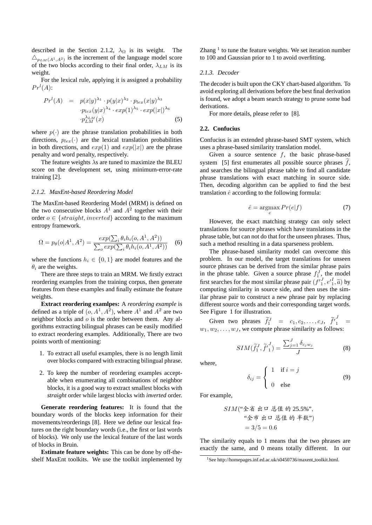described in the Section 2.1.2,  $\lambda_{\Omega}$  is its weight. The  $\triangle_{p_{LM}(A^1, A^2)}$  is the increment of the language model score of the two blocks according to their final order,  $\lambda_{LM}$  is its weight.

For the lexical rule, applying it is assigned a probability  $Pr<sup>l</sup>(A)$ :

$$
Prl(A) = p(x|y)^{\lambda_1} \cdot p(y|x)^{\lambda_2} \cdot p_{lex}(x|y)^{\lambda_3}
$$

$$
\cdot p_{lex}(y|x)^{\lambda_4} \cdot exp(1)^{\lambda_5} \cdot exp(|x|)^{\lambda_6}
$$

$$
\cdot p_{LM}^{\lambda_{LM}}(x)
$$
(5)

where  $p(\cdot)$  are the phrase translation probabilities in both directions,  $p_{lex}(\cdot)$  are the lexical translation probabilities in both directions, and  $exp(1)$  and  $exp(|x|)$  are the phrase penalty and word penalty, respectively.

The feature weights  $\lambda$ s are tuned to maximize the BLEU score on the development set, using minimum-error-rate training [2].

#### *2.1.2. MaxEnt-based Reordering Model*

The MaxEnt-based Reordering Model (MRM) is defined on the two consecutive blocks  $A<sup>1</sup>$  and  $A<sup>2</sup>$  together with their order  $o \in \{straight, inverted\}$  according to the maximum entropy framework.

$$
\Omega = p_{\theta}(o|A^1, A^2) = \frac{exp(\sum_{i} \theta_i h_i(o, A^1, A^2))}{\sum_{o} exp(\sum_{i} \theta_i h_i(o, A^1, A^2))}
$$
(6)

where the functions  $h_i \in \{0, 1\}$  are model features and the  $\theta_i$  are the weights.

There are three steps to train an MRM. We firstly extract reordering examples from the training corpus, then generate features from these examples and finally estimate the feature weights.

**Extract reordering examlpes:** A *reordering example* is defined as a triple of  $(o, A<sup>1</sup>, A<sup>2</sup>)$ , where  $A<sup>1</sup>$  and  $A<sup>2</sup>$  are two neighbor blocks and o is the order between them. Any algorithms extracting bilingual phrases can be easily modified to extract reordering examples. Additionally, There are two points worth of mentioning:

- 1. To extract all useful examples, there is no length limit over blocks compared with extracting bilingual phrase.
- 2. To keep the number of reordering examples acceptable when enumerating all combinations of neighbor blocks, it is a good way to extract smallest blocks with *straight* order while largest blocks with *inverted* order.

**Generate reordering features:** It is found that the boundary words of the blocks keep information for their movements/reorderings [8]. Here we define our lexical features on the right boundary words (i.e., the first or last words of blocks). We only use the lexical feature of the last words of blocks in Bruin.

**Estimate feature weights:** This can be done by off-theshelf MaxEnt toolkits. We use the toolkit implemented by

Zhang  $<sup>1</sup>$  to tune the feature weights. We set iteration number</sup> to 100 and Gaussian prior to 1 to avoid overfitting.

### *2.1.3. Decoder*

The decoder is built upon the CKY chart-based algorithm. To avoid exploring all derivations before the best final derivation is found, we adopt a beam search strategy to prune some bad derivations.

For more details, please refer to [8].

### **2.2. Confucius**

Confucius is an extended phrase-based SMT system, which uses a phrase-based similarity translation model.

Given a source sentence  $f$ , the basic phrase-based system [5] first enumerates all possible source phrases  $\hat{f}$ , and searches the bilingual phrase table to find all candidate phrase translations with exact matching in source side. Then, decoding algorithm can be applied to find the best translation  $\hat{e}$  according to the following formula:

$$
\hat{e} = \underset{e}{\operatorname{argmax}} Pr(e|f) \tag{7}
$$

However, the exact matching strategy can only select translations for source phrases which have translations in the phrase table, but can not do that for the unseen phrases. Thus, such a method resulting in a data sparseness problem.

The phrase-based similarity model can overcome this problem. In our model, the target translations for unseen source phrases can be derived from the similar phrase pairs in the phrase table. Given a source phrase  $f_1^J$ , the model first searches for the most similar phrase pair  $(f_1^J, e_1^I, \tilde{a})$  by computing similarity in source side, and then uses the similar phrase pair to construct a new phrase pair by replacing different source words and their corresponding target words. See Figure 1 for illustration.

Given two phrases  $\widetilde{f}_1^J = c_1, c_2, \ldots, c_J, \widetilde{f'}_1^J =$  $w_1, w_2, \ldots, w_J$ , we compute phrase similarity as follows:

$$
SIM(\widetilde{f}_1^J, \widetilde{f'}_1^J) = \frac{\sum_{j=1}^J \delta_{c_j w_j}}{J}
$$
 (8)

where,

$$
\delta_{ij} = \begin{cases} 1 & \text{if } i = j \\ 0 & \text{else} \end{cases}
$$
 (9)

For example,

$$
SIM("全者 出口 送値的 25.5%;\n"全市 出口 送値的半数")\n= 3/5 = 0.6
$$

The similarity equals to 1 means that the two phrases are exactly the same, and 0 means totally different. In our

<sup>&</sup>lt;sup>1</sup>See http://homepages.inf.ed.ac.uk/s0450736/maxent\_toolkit.html.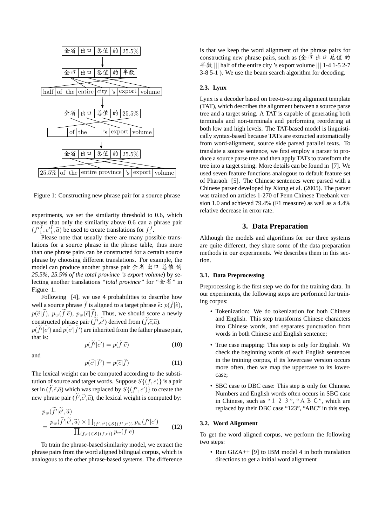

Figure 1: Constructing new phrase pair for a source phrase

experiments, we set the similarity threshold to 0.6, which means that only the similarity above 0.6 can a phrase pair  $(f'_1, e'_1, \tilde{a})$  be used to create translations for  $f_1^J$ .

Please note that usually there are many possible translations for a source phrase in the phrase table, thus more than one phrase pairs can be constructed for a certain source phrase by choosing different translations. For example, the model can produce another phrase pair 全省 出口 总值 的 *25.5%*, *25.5% of the total province 's export volume*) by selecting another translations *"total province"* for *"*全省*"* in Figure 1.

Following [4], we use 4 probabilities to describe how well a source phrase  $\tilde{f}$  is aligned to a target phrase  $\tilde{e}: p(\tilde{f}|\tilde{e})$ ,  $p(\tilde{e}|\tilde{f})$ ,  $p_w(\tilde{f}|\tilde{e})$ ,  $p_w(\tilde{e}|\tilde{f})$ . Thus, we should score a newly constructed phrase pair  $(\tilde{f}', \tilde{e}')$  derived from  $(\tilde{f}, \tilde{e}, \tilde{a})$ .

 $p(\widetilde{f}'|\widetilde{e}')$  and  $p(\widetilde{e}'|\widetilde{f}')$  are inherited from the father phrase pair, that is:

$$
p(\tilde{f}'|\tilde{e}') = p(\tilde{f}|\tilde{e})\tag{10}
$$

and

 $\sim$   $\sim$ 

$$
p(\tilde{e'}|\tilde{f'}) = p(\tilde{e}|\tilde{f})
$$
\n(11)

The lexical weight can be computed according to the substitution of source and target words. Suppose  $S\{(f,e)\}\$ is a pair set in  $(\widetilde{f}, \widetilde{e}, \widetilde{a})$  which was replaced by  $S\{(f', e')\}$  to create the new phrase pair  $(\tilde{f}', \tilde{e}', \tilde{a})$ , the lexical weight is computed by:

$$
p_w(\tilde{f}'|\tilde{e}',\tilde{a})
$$
  
= 
$$
\frac{p_w(\tilde{f}'|\tilde{e}',\tilde{a}) \times \prod_{(f',e') \in S\{(f',e')\}} p_w(f'|e')}{\prod_{(f,e) \in S\{(f,e)\}} p_w(f|e)}
$$
 (12)

To train the phrase-based similarity model, we extract the phrase pairs from the word aligned bilingual corpus, which is analogous to the other phrase-based systems. The difference

is that we keep the word alignment of the phrase pairs for constructing new phrase pairs, such as (全市 出口 总值 的 半数 ||| half of the entire city 's export volume ||| 1-4 1-5 2-7 3-8 5-1 ). We use the beam search algorithm for decoding.

## **2.3. Lynx**

Lynx is a decoder based on tree-to-string alignment template (TAT), which describes the alignment between a source parse tree and a target string. A TAT is capable of generating both terminals and non-terminals and performing reordering at both low and high levels. The TAT-based model is linguistically syntax-based because TATs are extracted automatically from word-alignment, source side parsed parallel texts. To translate a source sentence, we first employ a parser to produce a source parse tree and then apply TATs to transform the tree into a target string. More details can be found in [7]. We used seven feature functions analogous to default feature set of Pharaoh [5]. The Chinese sentences were parsed with a Chinese parser developed by Xiong et al. (2005). The parser was trained on articles 1-270 of Penn Chinese Treebank version 1.0 and achieved 79.4% (F1 measure) as well as a 4.4% relative decrease in error rate.

## **3. Data Preparation**

Although the models and algorithms for our three systems are quite different, they share some of the data preparation methods in our experiments. We describes them in this section.

## **3.1. Data Preprocessing**

Preprocessing is the first step we do for the training data. In our experiments, the following steps are performed for training corpus:

- Tokenization: We do tokenization for both Chinese and English. This step transforms Chinese characters into Chinese words, and separates punctuation from words in both Chinese and English sentence;
- True case mapping: This step is only for English. We check the beginning words of each English sentences in the training corpus, if its lowercase version occurs more often, then we map the uppercase to its lowercase;
- SBC case to DBC case: This step is only for Chinese. Numbers and English words often occurs in SBC case in Chinese, such as "1 2 3", "A B C", which are replaced by their DBC case "123", "ABC" in this step.

#### **3.2. Word Alignment**

To get the word aligned corpus, we perform the following two steps:

• Run GIZA++ [9] to IBM model 4 in both translation directions to get a initial word alignment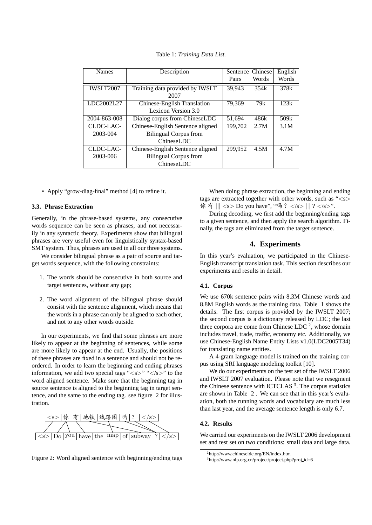| <b>Names</b>     | Description                      | Sentence | Chinese | English |
|------------------|----------------------------------|----------|---------|---------|
|                  |                                  | Pairs    | Words   | Words   |
| <b>IWSLT2007</b> | Training data provided by IWSLT  | 39,943   | 354k    | 378k    |
|                  | 2007                             |          |         |         |
| LDC2002L27       | Chinese-English Translation      | 79,369   | 79k     | 123k    |
|                  | Lexicon Version 3.0              |          |         |         |
| 2004-863-008     | Dialog corpus from ChineseLDC    | 51.694   | 486k    | 509k    |
| CLDC-LAC-        | Chinese-English Sentence aligned | 199,702  | 2.7M    | 3.1M    |
| 2003-004         | <b>Bilingual Corpus from</b>     |          |         |         |
|                  | <b>ChineseLDC</b>                |          |         |         |
| CLDC-LAC-        | Chinese-English Sentence aligned | 299.952  | 4.5M    | 4.7M    |
| 2003-006         | <b>Bilingual Corpus from</b>     |          |         |         |
|                  | ChineseLDC                       |          |         |         |

Table 1: *Training Data List.*

• Apply "grow-diag-final" method [4] to refine it.

#### **3.3. Phrase Extraction**

Generally, in the phrase-based systems, any consecutive words sequence can be seen as phrases, and not necessarily in any syntactic theory. Experiments show that bilingual phrases are very useful even for linguistically syntax-based SMT system. Thus, phrases are used in all our three systems.

We consider bilingual phrase as a pair of source and target words sequence, with the following constraints:

- 1. The words should be consecutive in both source and target sentences, without any gap;
- 2. The word alignment of the bilingual phrase should consist with the sentence alignment, which means that the words in a phrase can only be aligned to each other, and not to any other words outside.

In our experiments, we find that some phrases are more likely to appear at the beginning of sentences, while some are more likely to appear at the end. Usually, the positions of these phrases are fixed in a sentence and should not be reordered. In order to learn the beginning and ending phrases information, we add two special tags " $\langle s \rangle$ " $\langle s \rangle$ " to the word aligned sentence. Make sure that the beginning tag in source sentence is aligned to the beginning tag in target sentence, and the same to the ending tag. see figure 2 for illustration.





When doing phrase extraction, the beginning and ending tags are extracted together with other words, such as " $\langle s \rangle$ 你 有 ||| <s> Do you have", "吗 ? </s> ||| ? </s>".

During decoding, we first add the beginning/ending tags to a given sentence, and then apply the search algorithm. Finally, the tags are eliminated from the target sentence.

## **4. Experiments**

In this year's evaluation, we participated in the Chinese-English transcript translation task. This section describes our experiments and results in detail.

## **4.1. Corpus**

We use 670k sentence pairs with 8.3M Chinese words and 8.8M English words as the training data. Table 1 shows the details. The first corpus is provided by the IWSLT 2007; the second corpus is a dictionary released by LDC; the last three corpora are come from Chinese LDC<sup>2</sup>, whose domain includes travel, trade, traffic, economy etc. Additionally, we use Chinese-English Name Entity Lists v1.0(LDC2005T34) for translating name entities.

A 4-gram language model is trained on the training corpus using SRI language modeling toolkit [10].

We do our experiments on the test set of the IWSLT 2006 and IWSLT 2007 evaluation. Please note that we resegment the Chinese sentence with ICTCLAS<sup>3</sup>. The corpus statistics are shown in Table 2 . We can see that in this year's evaluation, both the running words and vocabulary are much less than last year, and the average sentence length is only 6.7.

### **4.2. Results**

We carried our experiments on the IWSLT 2006 development set and test set on two conditions: small data and large data.

<sup>2</sup>http://www.chineseldc.org/EN/index.htm

<sup>3</sup>http://www.nlp.org.cn/project/project.php?proj id=6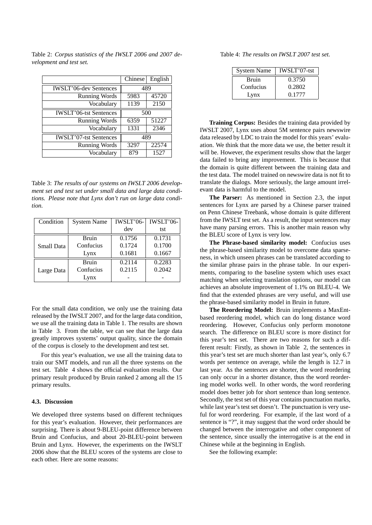|                               | Chinese | English |
|-------------------------------|---------|---------|
| <b>IWSLT'06-dev Sentences</b> | 489     |         |
| <b>Running Words</b>          | 5983    | 45720   |
| Vocabulary                    | 1139    | 2150    |
| <b>IWSLT'06-tst Sentences</b> | 500     |         |
| Running Words                 | 6359    | 51227   |
| Vocabulary                    | 1331    | 2346    |
| <b>IWSLT'07-tst Sentences</b> | 489     |         |
| <b>Running Words</b>          | 3297    | 22574   |
| Vocabulary                    | 879     | 1527    |

Table 2: *Corpus statistics of the IWSLT 2006 and 2007 development and test set.*

Table 3: *The results of our systems on IWSLT 2006 development set and test set under small data and large data conditions. Please note that Lynx don't run on large data condition.*

| Condition         | <b>System Name</b> | IWSLT'06- | IWSLT'06- |
|-------------------|--------------------|-----------|-----------|
|                   |                    | dev       | tst       |
| <b>Small Data</b> | <b>Bruin</b>       | 0.1756    | 0.1731    |
|                   | Confucius          | 0.1724    | 0.1700    |
|                   | Lynx               | 0.1681    | 0.1667    |
| Large Data        | <b>Bruin</b>       | 0.2114    | 0.2283    |
|                   | Confucius          | 0.2115    | 0.2042    |
|                   | Lynx               |           |           |

For the small data condition, we only use the training data released by the IWSLT 2007, and for the large data condition, we use all the training data in Table 1. The results are shown in Table 3. From the table, we can see that the large data greatly improves systems' output quality, since the domain of the corpus is closely to the development and test set.

For this year's evaluation, we use all the training data to train our SMT models, and run all the three systems on the test set. Table 4 shows the official evaluation results. Our primary result produced by Bruin ranked 2 among all the 15 primary results.

#### **4.3. Discussion**

We developed three systems based on different techniques for this year's evaluation. However, their performances are surprising. There is about 9-BLEU-point difference between Bruin and Confucius, and about 20-BLEU-point between Bruin and Lynx. However, the experiments on the IWSLT 2006 show that the BLEU scores of the systems are close to each other. Here are some reasons:

Table 4: *The results on IWSLT 2007 test set.*

| <b>System Name</b> | IWSLT'07-tst |  |  |
|--------------------|--------------|--|--|
| Bruin              | 0.3750       |  |  |
| Confucius          | 0.2802       |  |  |
| Lynx               | 0.1777       |  |  |

**Training Corpus:** Besides the training data provided by IWSLT 2007, Lynx uses about 5M sentence pairs newswire data released by LDC to train the model for this years' evaluation. We think that the more data we use, the better result it will be. However, the experiment results show that the larger data failed to bring any improvement. This is because that the domain is quite different between the training data and the test data. The model trained on newswire data is not fit to translate the dialogs. More seriously, the large amount irrelevant data is harmful to the model.

**The Parser:** As mentioned in Section 2.3, the input sentences for Lynx are parsed by a Chinese parser trained on Penn Chinese Treebank, whose domain is quite different from the IWSLT test set. As a result, the input sentences may have many parsing errors. This is another main reason why the BLEU score of Lynx is very low.

**The Phrase-based similarity model:** Confucius uses the phrase-based similarity model to overcome data sparseness, in which unseen phrases can be translated according to the similar phrase pairs in the phrase table. In our experiments, comparing to the baseline system which uses exact matching when selecting translation options, our model can achieves an absolute improvement of 1.1% on BLEU-4. We find that the extended phrases are very useful, and will use the phrase-based similarity model in Bruin in future.

**The Reordering Model:** Bruin implements a MaxEntbased reordering model, which can do long distance word reordering. However, Confucius only perform monotone search. The difference on BLEU score is more distinct for this year's test set. There are two reasons for such a different result: Firstly, as shown in Table 2, the sentences in this year's test set are much shorter than last year's, only 6.7 words per sentence on average, while the length is 12.7 in last year. As the sentences are shorter, the word reordering can only occur in a shorter distance, thus the word reordering model works well. In other words, the word reordering model does better job for short sentence than long sentence. Secondly, the test set of this year contains punctuation marks, while last year's test set doesn't. The punctuation is very useful for word reordering. For example, if the last word of a sentence is "?", it may suggest that the word order should be changed between the interrogative and other component of the sentence, since usually the interrogative is at the end in Chinese while at the beginning in English.

See the following example: